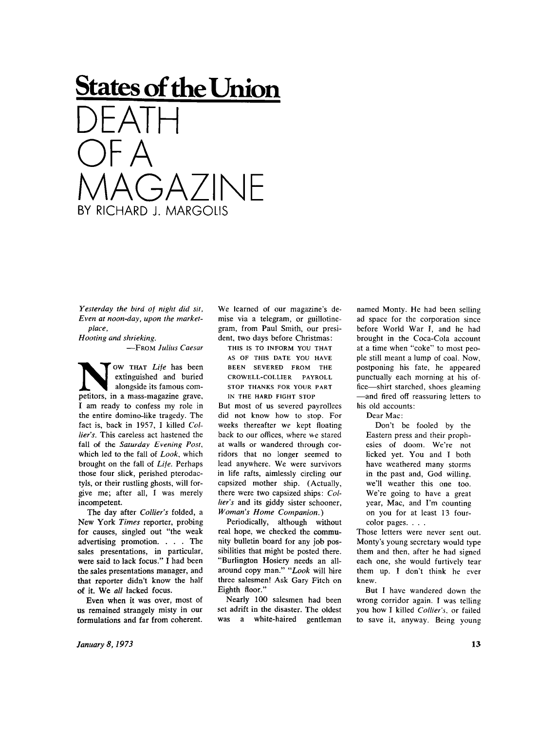## **States of the Union**  DEATH OF A  $\exists$ A $\overline{7}$ In BY RICHARD J. MARGOLIS

*Yesterday the bird of night did sit, Even at noon-day, upon the marketplace,* 

*Hooting and shrieking.* 

**—FRO <sup>M</sup>** *Julius Caesar* 

**NOW THAT** Life has been extinguished and buried alongside its famous competitors, in a mass-magazine grave, ow **THAT** *Life* has been extinguished and buried alongside its famous com-I am ready to confess my role in the entire domino-like tragedy. The fact is, back in 1957, I killed *Collier's.* This careless act hastened the fall of the *Saturday Evening Post,*  which led to the fall of *Look,* which brought on the fall of *Life.* Perhaps those four slick, perished pterodactyls, or their rustling ghosts, will forgive me; after all, I was merely incompetent.

The day after *Collier's* folded, a New York Times reporter, probing for causes, singled out "the weak advertising promotion. . . . The sales presentations, in particular, were said to lack focus." I had been the sales presentations manager, and that reporter didn't know the half of it. We *all* lacked focus.

Even when it was over, most of us remained strangely misty in our formulations and far from coherent. We learned of our magazine's demise via a telegram, or guillotinegram, from Paul Smith, our president, two days before Christmas:

**THIS IS TO INFORM YOU THAT AS OF THIS DATE YOU HAVE BEEN SEVERED FROM THE CROWELL-COLLIER PAYROLL STOP THANKS FOR YOUR PART IN THE HARD FIGHT STOP** 

But most of us severed payrollees did not know how to stop. For weeks thereafter we kept floating back to our offices, where we stared at walls or wandered through corridors that no longer seemed to lead anywhere. We were survivors in life rafts, aimlessly circling our capsized mother ship. (Actually, there were two capsized ships: *Collier's* and its giddy sister schooner, *Woman's Home Companion.)* 

Periodically, although without real hope, we checked the community bulletin board for any job possibilities that might be posted there. "Burlington Hosiery needs an allaround copy man." *"Look* will hire three salesmen! Ask Gary Fitch on Eighth floor."

Nearly 100 salesmen had been set adrift in the disaster. The oldest was a white-haired gentleman

named Monty. He had been selling ad space for the corporation since before World War I, and he had brought in the Coca-Cola account at a time when "coke" to most people still meant a lump of coai. Now, postponing his fate, he appeared punctually each morning at his office—shirt starched, shoes gleaming —and fired off reassuring letters to his old accounts:

Dear Mac:

Don't be fooled by the Eastern press and their prophesies of doom. We're not licked yet. You and I both have weathered many storms in the past and, God willing, we'll weather this one too. We're going to have a great year, Mac, and I'm counting on you for at least 13 fourcolor pages. . . .

Those letters were never sent out. Monty's young secretary would type them and then, after he had signed each one, she would furtively tear them up. I don't think he ever knew.

But I have wandered down the wrong corridor again. I was telling you how I killed *Collier's,* or failed to save it, anyway. Being young